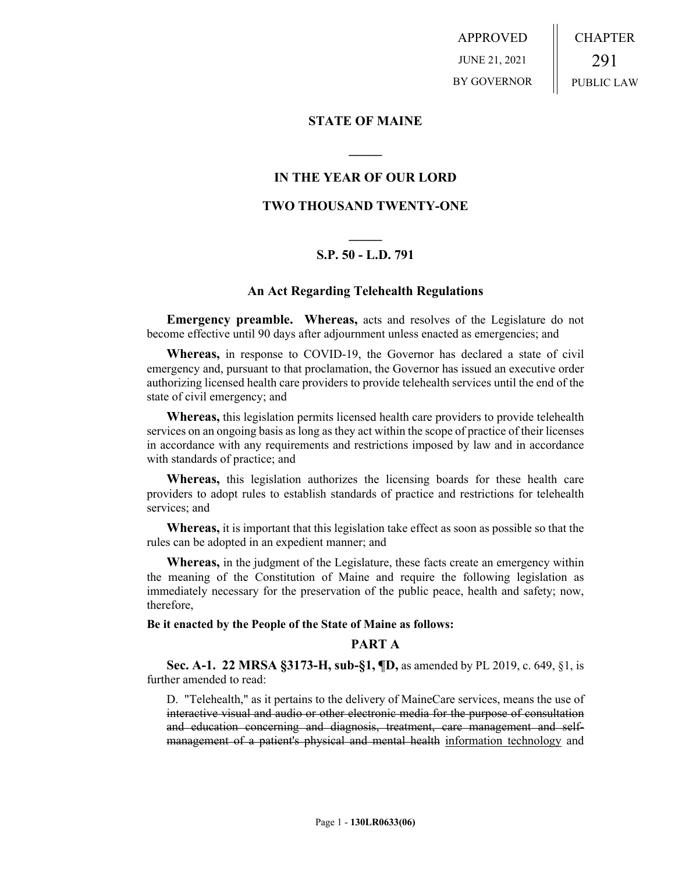APPROVED JUNE 21, 2021 BY GOVERNOR CHAPTER 291 PUBLIC LAW

### **STATE OF MAINE**

## **IN THE YEAR OF OUR LORD**

**\_\_\_\_\_**

# **TWO THOUSAND TWENTY-ONE**

# **\_\_\_\_\_ S.P. 50 - L.D. 791**

## **An Act Regarding Telehealth Regulations**

**Emergency preamble. Whereas,** acts and resolves of the Legislature do not become effective until 90 days after adjournment unless enacted as emergencies; and

**Whereas,** in response to COVID-19, the Governor has declared a state of civil emergency and, pursuant to that proclamation, the Governor has issued an executive order authorizing licensed health care providers to provide telehealth services until the end of the state of civil emergency; and

**Whereas,** this legislation permits licensed health care providers to provide telehealth services on an ongoing basis as long as they act within the scope of practice of their licenses in accordance with any requirements and restrictions imposed by law and in accordance with standards of practice; and

**Whereas,** this legislation authorizes the licensing boards for these health care providers to adopt rules to establish standards of practice and restrictions for telehealth services; and

**Whereas,** it is important that this legislation take effect as soon as possible so that the rules can be adopted in an expedient manner; and

**Whereas,** in the judgment of the Legislature, these facts create an emergency within the meaning of the Constitution of Maine and require the following legislation as immediately necessary for the preservation of the public peace, health and safety; now, therefore,

### **Be it enacted by the People of the State of Maine as follows:**

### **PART A**

**Sec. A-1. 22 MRSA §3173-H, sub-§1, ¶D,** as amended by PL 2019, c. 649, §1, is further amended to read:

D. "Telehealth," as it pertains to the delivery of MaineCare services, means the use of interactive visual and audio or other electronic media for the purpose of consultation and education concerning and diagnosis, treatment, care management and selfmanagement of a patient's physical and mental health information technology and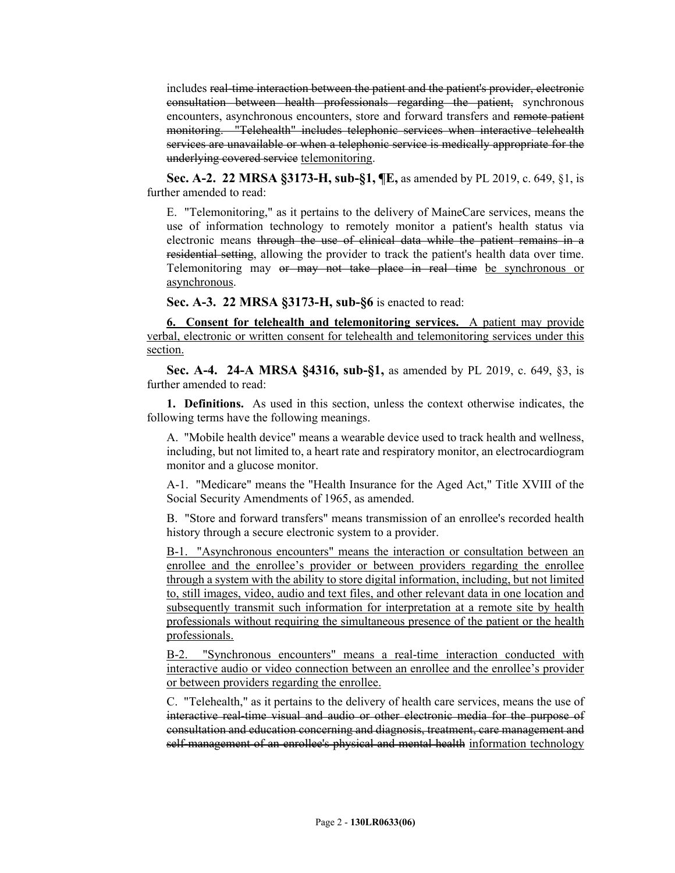includes real-time interaction between the patient and the patient's provider, electronic consultation between health professionals regarding the patient, synchronous encounters, asynchronous encounters, store and forward transfers and remote patient monitoring. "Telehealth" includes telephonic services when interactive telehealth services are unavailable or when a telephonic service is medically appropriate for the underlying covered service telemonitoring.

**Sec. A-2. 22 MRSA §3173-H, sub-§1, ¶E,** as amended by PL 2019, c. 649, §1, is further amended to read:

E. "Telemonitoring," as it pertains to the delivery of MaineCare services, means the use of information technology to remotely monitor a patient's health status via electronic means through the use of clinical data while the patient remains in a residential setting, allowing the provider to track the patient's health data over time. Telemonitoring may or may not take place in real time be synchronous or asynchronous.

**Sec. A-3. 22 MRSA §3173-H, sub-§6** is enacted to read:

**6. Consent for telehealth and telemonitoring services.** A patient may provide verbal, electronic or written consent for telehealth and telemonitoring services under this section.

**Sec. A-4. 24-A MRSA §4316, sub-§1,** as amended by PL 2019, c. 649, §3, is further amended to read:

**1. Definitions.** As used in this section, unless the context otherwise indicates, the following terms have the following meanings.

A. "Mobile health device" means a wearable device used to track health and wellness, including, but not limited to, a heart rate and respiratory monitor, an electrocardiogram monitor and a glucose monitor.

A-1. "Medicare" means the "Health Insurance for the Aged Act," Title XVIII of the Social Security Amendments of 1965, as amended.

B. "Store and forward transfers" means transmission of an enrollee's recorded health history through a secure electronic system to a provider.

B-1. "Asynchronous encounters" means the interaction or consultation between an enrollee and the enrollee's provider or between providers regarding the enrollee through a system with the ability to store digital information, including, but not limited to, still images, video, audio and text files, and other relevant data in one location and subsequently transmit such information for interpretation at a remote site by health professionals without requiring the simultaneous presence of the patient or the health professionals.

B-2. "Synchronous encounters" means a real-time interaction conducted with interactive audio or video connection between an enrollee and the enrollee's provider or between providers regarding the enrollee.

C. "Telehealth," as it pertains to the delivery of health care services, means the use of interactive real-time visual and audio or other electronic media for the purpose of consultation and education concerning and diagnosis, treatment, care management and self-management of an enrollee's physical and mental health information technology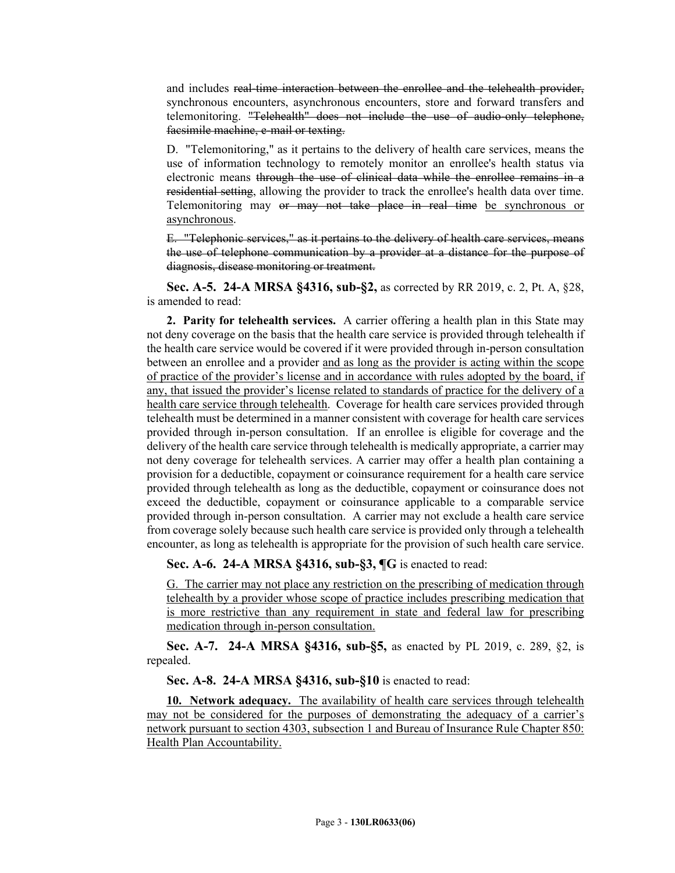and includes real-time interaction between the enrollee and the telehealth provider, synchronous encounters, asynchronous encounters, store and forward transfers and telemonitoring. "Telehealth" does not include the use of audio-only telephone, facsimile machine, e-mail or texting.

D. "Telemonitoring," as it pertains to the delivery of health care services, means the use of information technology to remotely monitor an enrollee's health status via electronic means through the use of clinical data while the enrollee remains in a residential setting, allowing the provider to track the enrollee's health data over time. Telemonitoring may or may not take place in real time be synchronous or asynchronous.

E. "Telephonic services," as it pertains to the delivery of health care services, means the use of telephone communication by a provider at a distance for the purpose of diagnosis, disease monitoring or treatment.

**Sec. A-5. 24-A MRSA §4316, sub-§2,** as corrected by RR 2019, c. 2, Pt. A, §28, is amended to read:

**2. Parity for telehealth services.** A carrier offering a health plan in this State may not deny coverage on the basis that the health care service is provided through telehealth if the health care service would be covered if it were provided through in-person consultation between an enrollee and a provider and as long as the provider is acting within the scope of practice of the provider's license and in accordance with rules adopted by the board, if any, that issued the provider's license related to standards of practice for the delivery of a health care service through telehealth. Coverage for health care services provided through telehealth must be determined in a manner consistent with coverage for health care services provided through in-person consultation. If an enrollee is eligible for coverage and the delivery of the health care service through telehealth is medically appropriate, a carrier may not deny coverage for telehealth services. A carrier may offer a health plan containing a provision for a deductible, copayment or coinsurance requirement for a health care service provided through telehealth as long as the deductible, copayment or coinsurance does not exceed the deductible, copayment or coinsurance applicable to a comparable service provided through in-person consultation. A carrier may not exclude a health care service from coverage solely because such health care service is provided only through a telehealth encounter, as long as telehealth is appropriate for the provision of such health care service.

**Sec. A-6. 24-A MRSA §4316, sub-§3, ¶G** is enacted to read:

G. The carrier may not place any restriction on the prescribing of medication through telehealth by a provider whose scope of practice includes prescribing medication that is more restrictive than any requirement in state and federal law for prescribing medication through in-person consultation.

**Sec. A-7. 24-A MRSA §4316, sub-§5,** as enacted by PL 2019, c. 289, §2, is repealed.

**Sec. A-8. 24-A MRSA §4316, sub-§10** is enacted to read:

**10. Network adequacy.** The availability of health care services through telehealth may not be considered for the purposes of demonstrating the adequacy of a carrier's network pursuant to section 4303, subsection 1 and Bureau of Insurance Rule Chapter 850: Health Plan Accountability.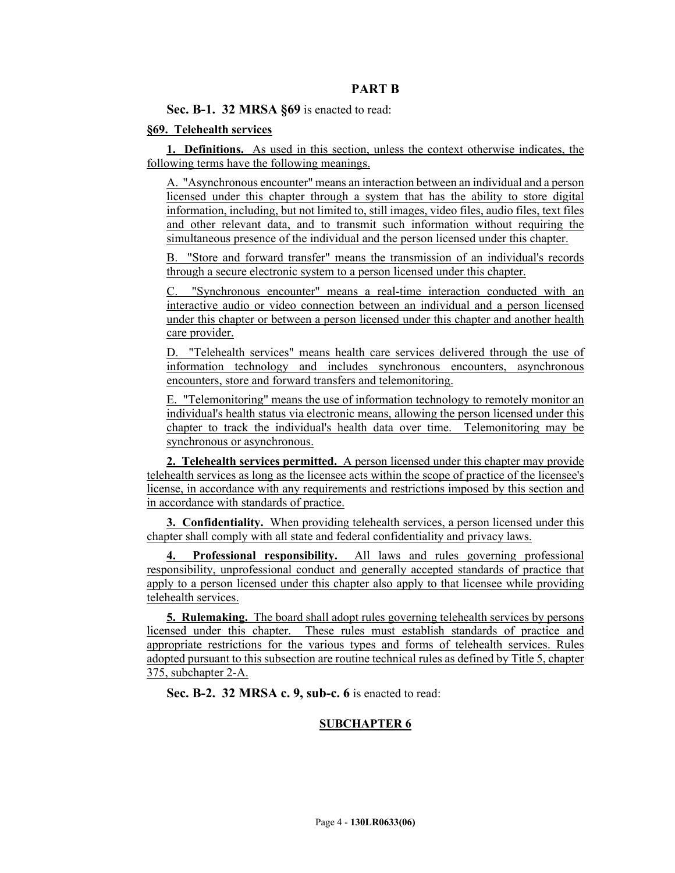## **PART B**

**Sec. B-1. 32 MRSA §69** is enacted to read:

### **§69. Telehealth services**

**1. Definitions.** As used in this section, unless the context otherwise indicates, the following terms have the following meanings.

A. "Asynchronous encounter" means an interaction between an individual and a person licensed under this chapter through a system that has the ability to store digital information, including, but not limited to, still images, video files, audio files, text files and other relevant data, and to transmit such information without requiring the simultaneous presence of the individual and the person licensed under this chapter.

B. "Store and forward transfer" means the transmission of an individual's records through a secure electronic system to a person licensed under this chapter.

C. "Synchronous encounter" means a real-time interaction conducted with an interactive audio or video connection between an individual and a person licensed under this chapter or between a person licensed under this chapter and another health care provider.

D. "Telehealth services" means health care services delivered through the use of information technology and includes synchronous encounters, asynchronous encounters, store and forward transfers and telemonitoring.

E. "Telemonitoring" means the use of information technology to remotely monitor an individual's health status via electronic means, allowing the person licensed under this chapter to track the individual's health data over time. Telemonitoring may be synchronous or asynchronous.

**2. Telehealth services permitted.** A person licensed under this chapter may provide telehealth services as long as the licensee acts within the scope of practice of the licensee's license, in accordance with any requirements and restrictions imposed by this section and in accordance with standards of practice.

**3. Confidentiality.** When providing telehealth services, a person licensed under this chapter shall comply with all state and federal confidentiality and privacy laws.

**4. Professional responsibility.** All laws and rules governing professional responsibility, unprofessional conduct and generally accepted standards of practice that apply to a person licensed under this chapter also apply to that licensee while providing telehealth services.

**5. Rulemaking.** The board shall adopt rules governing telehealth services by persons licensed under this chapter. These rules must establish standards of practice and appropriate restrictions for the various types and forms of telehealth services. Rules adopted pursuant to this subsection are routine technical rules as defined by Title 5, chapter 375, subchapter 2-A.

**Sec. B-2. 32 MRSA c. 9, sub-c. 6** is enacted to read:

## **SUBCHAPTER 6**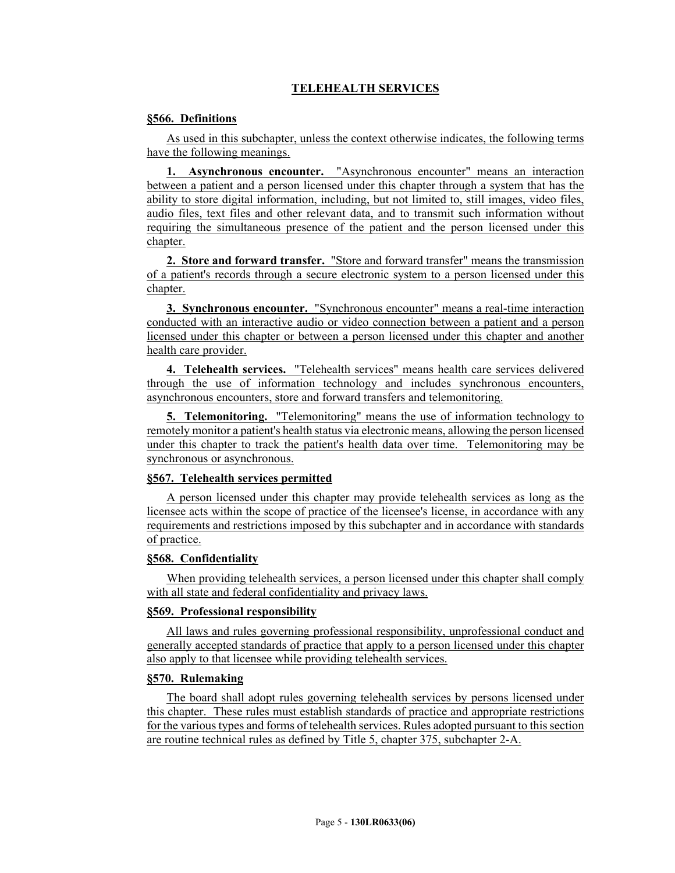# **TELEHEALTH SERVICES**

### **§566. Definitions**

As used in this subchapter, unless the context otherwise indicates, the following terms have the following meanings.

**1. Asynchronous encounter.** "Asynchronous encounter" means an interaction between a patient and a person licensed under this chapter through a system that has the ability to store digital information, including, but not limited to, still images, video files, audio files, text files and other relevant data, and to transmit such information without requiring the simultaneous presence of the patient and the person licensed under this chapter.

**2. Store and forward transfer.** "Store and forward transfer" means the transmission of a patient's records through a secure electronic system to a person licensed under this chapter.

**3. Synchronous encounter.** "Synchronous encounter" means a real-time interaction conducted with an interactive audio or video connection between a patient and a person licensed under this chapter or between a person licensed under this chapter and another health care provider.

**4. Telehealth services.** "Telehealth services" means health care services delivered through the use of information technology and includes synchronous encounters, asynchronous encounters, store and forward transfers and telemonitoring.

**5. Telemonitoring.** "Telemonitoring" means the use of information technology to remotely monitor a patient's health status via electronic means, allowing the person licensed under this chapter to track the patient's health data over time. Telemonitoring may be synchronous or asynchronous.

### **§567. Telehealth services permitted**

A person licensed under this chapter may provide telehealth services as long as the licensee acts within the scope of practice of the licensee's license, in accordance with any requirements and restrictions imposed by this subchapter and in accordance with standards of practice.

#### **§568. Confidentiality**

When providing telehealth services, a person licensed under this chapter shall comply with all state and federal confidentiality and privacy laws.

#### **§569. Professional responsibility**

All laws and rules governing professional responsibility, unprofessional conduct and generally accepted standards of practice that apply to a person licensed under this chapter also apply to that licensee while providing telehealth services.

### **§570. Rulemaking**

The board shall adopt rules governing telehealth services by persons licensed under this chapter. These rules must establish standards of practice and appropriate restrictions for the various types and forms of telehealth services. Rules adopted pursuant to this section are routine technical rules as defined by Title 5, chapter 375, subchapter 2-A.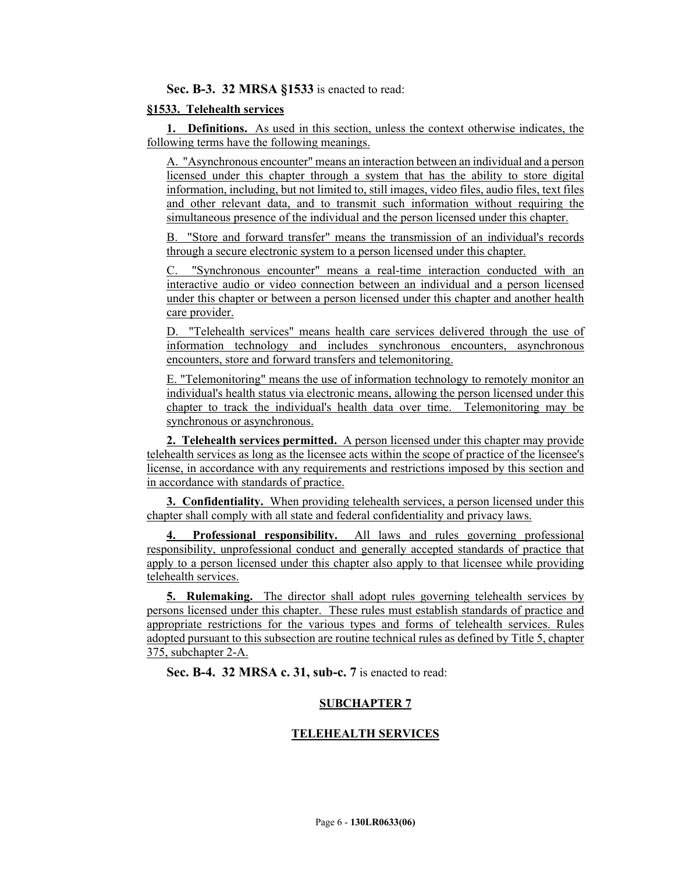## **Sec. B-3. 32 MRSA §1533** is enacted to read:

### **§1533. Telehealth services**

**1. Definitions.** As used in this section, unless the context otherwise indicates, the following terms have the following meanings.

A. "Asynchronous encounter" means an interaction between an individual and a person licensed under this chapter through a system that has the ability to store digital information, including, but not limited to, still images, video files, audio files, text files and other relevant data, and to transmit such information without requiring the simultaneous presence of the individual and the person licensed under this chapter.

"Store and forward transfer" means the transmission of an individual's records through a secure electronic system to a person licensed under this chapter.

"Synchronous encounter" means a real-time interaction conducted with an interactive audio or video connection between an individual and a person licensed under this chapter or between a person licensed under this chapter and another health care provider.

D. "Telehealth services" means health care services delivered through the use of information technology and includes synchronous encounters, asynchronous encounters, store and forward transfers and telemonitoring.

E. "Telemonitoring" means the use of information technology to remotely monitor an individual's health status via electronic means, allowing the person licensed under this chapter to track the individual's health data over time. Telemonitoring may be synchronous or asynchronous.

**2. Telehealth services permitted.** A person licensed under this chapter may provide telehealth services as long as the licensee acts within the scope of practice of the licensee's license, in accordance with any requirements and restrictions imposed by this section and in accordance with standards of practice.

**3. Confidentiality.** When providing telehealth services, a person licensed under this chapter shall comply with all state and federal confidentiality and privacy laws.

**4. Professional responsibility.** All laws and rules governing professional responsibility, unprofessional conduct and generally accepted standards of practice that apply to a person licensed under this chapter also apply to that licensee while providing telehealth services.

**5. Rulemaking.** The director shall adopt rules governing telehealth services by persons licensed under this chapter. These rules must establish standards of practice and appropriate restrictions for the various types and forms of telehealth services. Rules adopted pursuant to this subsection are routine technical rules as defined by Title 5, chapter 375, subchapter 2-A.

**Sec. B-4. 32 MRSA c. 31, sub-c. 7** is enacted to read:

## **SUBCHAPTER 7**

## **TELEHEALTH SERVICES**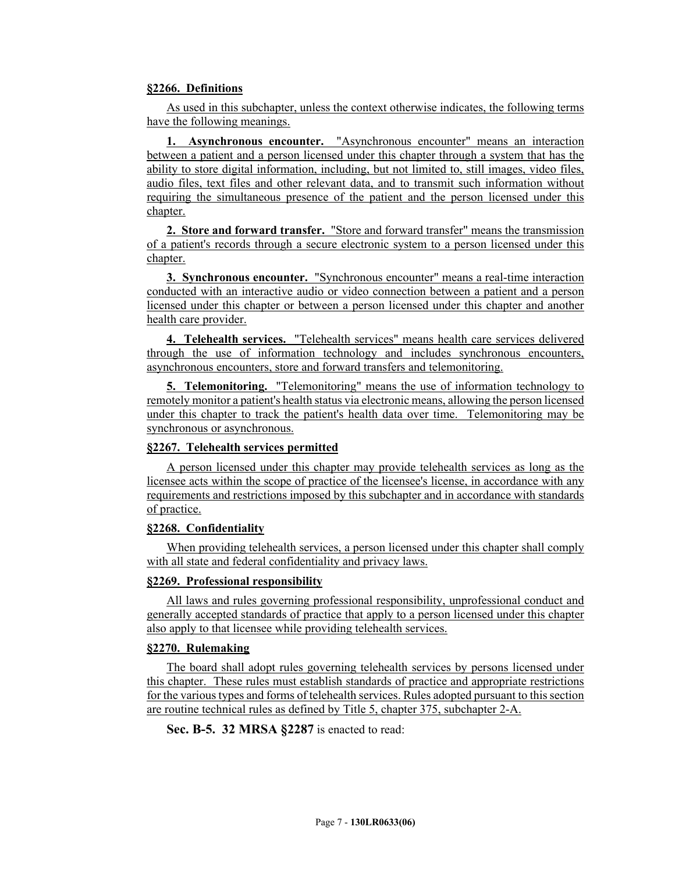## **§2266. Definitions**

As used in this subchapter, unless the context otherwise indicates, the following terms have the following meanings.

**1. Asynchronous encounter.** "Asynchronous encounter" means an interaction between a patient and a person licensed under this chapter through a system that has the ability to store digital information, including, but not limited to, still images, video files, audio files, text files and other relevant data, and to transmit such information without requiring the simultaneous presence of the patient and the person licensed under this chapter.

**2. Store and forward transfer.** "Store and forward transfer" means the transmission of a patient's records through a secure electronic system to a person licensed under this chapter.

**3. Synchronous encounter.** "Synchronous encounter" means a real-time interaction conducted with an interactive audio or video connection between a patient and a person licensed under this chapter or between a person licensed under this chapter and another health care provider.

**4. Telehealth services.** "Telehealth services" means health care services delivered through the use of information technology and includes synchronous encounters, asynchronous encounters, store and forward transfers and telemonitoring.

**5. Telemonitoring.** "Telemonitoring" means the use of information technology to remotely monitor a patient's health status via electronic means, allowing the person licensed under this chapter to track the patient's health data over time. Telemonitoring may be synchronous or asynchronous.

## **§2267. Telehealth services permitted**

A person licensed under this chapter may provide telehealth services as long as the licensee acts within the scope of practice of the licensee's license, in accordance with any requirements and restrictions imposed by this subchapter and in accordance with standards of practice.

#### **§2268. Confidentiality**

When providing telehealth services, a person licensed under this chapter shall comply with all state and federal confidentiality and privacy laws.

## **§2269. Professional responsibility**

All laws and rules governing professional responsibility, unprofessional conduct and generally accepted standards of practice that apply to a person licensed under this chapter also apply to that licensee while providing telehealth services.

## **§2270. Rulemaking**

The board shall adopt rules governing telehealth services by persons licensed under this chapter. These rules must establish standards of practice and appropriate restrictions for the various types and forms of telehealth services. Rules adopted pursuant to this section are routine technical rules as defined by Title 5, chapter 375, subchapter 2-A.

**Sec. B-5. 32 MRSA §2287** is enacted to read: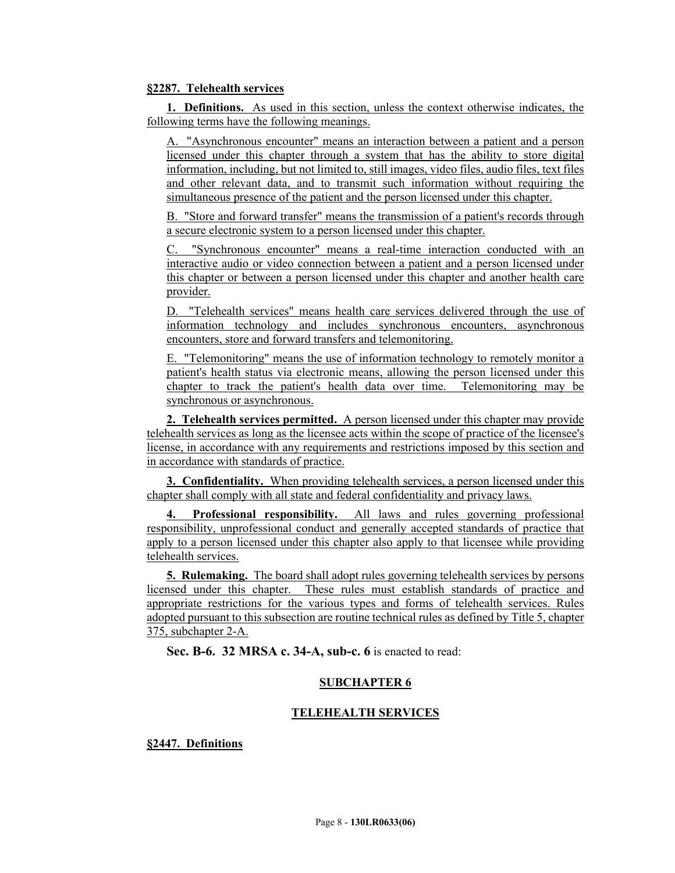### **§2287. Telehealth services**

**1. Definitions.** As used in this section, unless the context otherwise indicates, the following terms have the following meanings.

A. "Asynchronous encounter" means an interaction between a patient and a person licensed under this chapter through a system that has the ability to store digital information, including, but not limited to, still images, video files, audio files, text files and other relevant data, and to transmit such information without requiring the simultaneous presence of the patient and the person licensed under this chapter.

B. "Store and forward transfer" means the transmission of a patient's records through a secure electronic system to a person licensed under this chapter.

"Synchronous encounter" means a real-time interaction conducted with an interactive audio or video connection between a patient and a person licensed under this chapter or between a person licensed under this chapter and another health care provider.

D. "Telehealth services" means health care services delivered through the use of information technology and includes synchronous encounters, asynchronous encounters, store and forward transfers and telemonitoring.

E. "Telemonitoring" means the use of information technology to remotely monitor a patient's health status via electronic means, allowing the person licensed under this chapter to track the patient's health data over time. Telemonitoring may be synchronous or asynchronous.

**2. Telehealth services permitted.** A person licensed under this chapter may provide telehealth services as long as the licensee acts within the scope of practice of the licensee's license, in accordance with any requirements and restrictions imposed by this section and in accordance with standards of practice.

**3. Confidentiality.** When providing telehealth services, a person licensed under this chapter shall comply with all state and federal confidentiality and privacy laws.

**4. Professional responsibility.** All laws and rules governing professional responsibility, unprofessional conduct and generally accepted standards of practice that apply to a person licensed under this chapter also apply to that licensee while providing telehealth services.

**5. Rulemaking.** The board shall adopt rules governing telehealth services by persons licensed under this chapter. These rules must establish standards of practice and appropriate restrictions for the various types and forms of telehealth services. Rules adopted pursuant to this subsection are routine technical rules as defined by Title 5, chapter 375, subchapter 2-A.

**Sec. B-6. 32 MRSA c. 34-A, sub-c. 6** is enacted to read:

## **SUBCHAPTER 6**

## **TELEHEALTH SERVICES**

**§2447. Definitions**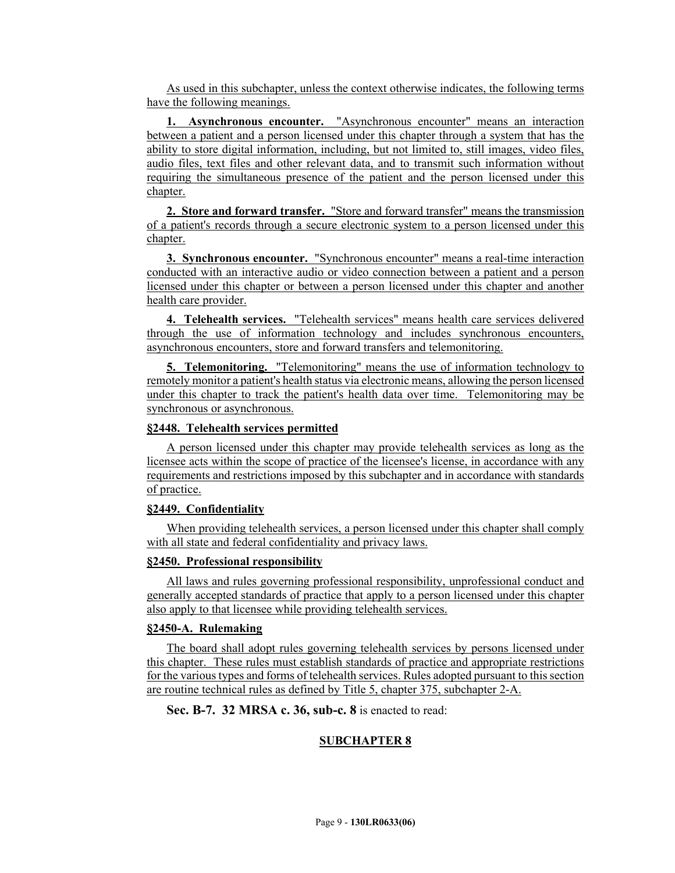As used in this subchapter, unless the context otherwise indicates, the following terms have the following meanings.

**1. Asynchronous encounter.** "Asynchronous encounter" means an interaction between a patient and a person licensed under this chapter through a system that has the ability to store digital information, including, but not limited to, still images, video files, audio files, text files and other relevant data, and to transmit such information without requiring the simultaneous presence of the patient and the person licensed under this chapter.

**2. Store and forward transfer.** "Store and forward transfer" means the transmission of a patient's records through a secure electronic system to a person licensed under this chapter.

**3. Synchronous encounter.** "Synchronous encounter" means a real-time interaction conducted with an interactive audio or video connection between a patient and a person licensed under this chapter or between a person licensed under this chapter and another health care provider.

**4. Telehealth services.** "Telehealth services" means health care services delivered through the use of information technology and includes synchronous encounters, asynchronous encounters, store and forward transfers and telemonitoring.

**5. Telemonitoring.** "Telemonitoring" means the use of information technology to remotely monitor a patient's health status via electronic means, allowing the person licensed under this chapter to track the patient's health data over time. Telemonitoring may be synchronous or asynchronous.

#### **§2448. Telehealth services permitted**

A person licensed under this chapter may provide telehealth services as long as the licensee acts within the scope of practice of the licensee's license, in accordance with any requirements and restrictions imposed by this subchapter and in accordance with standards of practice.

#### **§2449. Confidentiality**

When providing telehealth services, a person licensed under this chapter shall comply with all state and federal confidentiality and privacy laws.

#### **§2450. Professional responsibility**

All laws and rules governing professional responsibility, unprofessional conduct and generally accepted standards of practice that apply to a person licensed under this chapter also apply to that licensee while providing telehealth services.

#### **§2450-A. Rulemaking**

The board shall adopt rules governing telehealth services by persons licensed under this chapter. These rules must establish standards of practice and appropriate restrictions for the various types and forms of telehealth services. Rules adopted pursuant to this section are routine technical rules as defined by Title 5, chapter 375, subchapter 2-A.

**Sec. B-7. 32 MRSA c. 36, sub-c. 8** is enacted to read:

#### **SUBCHAPTER 8**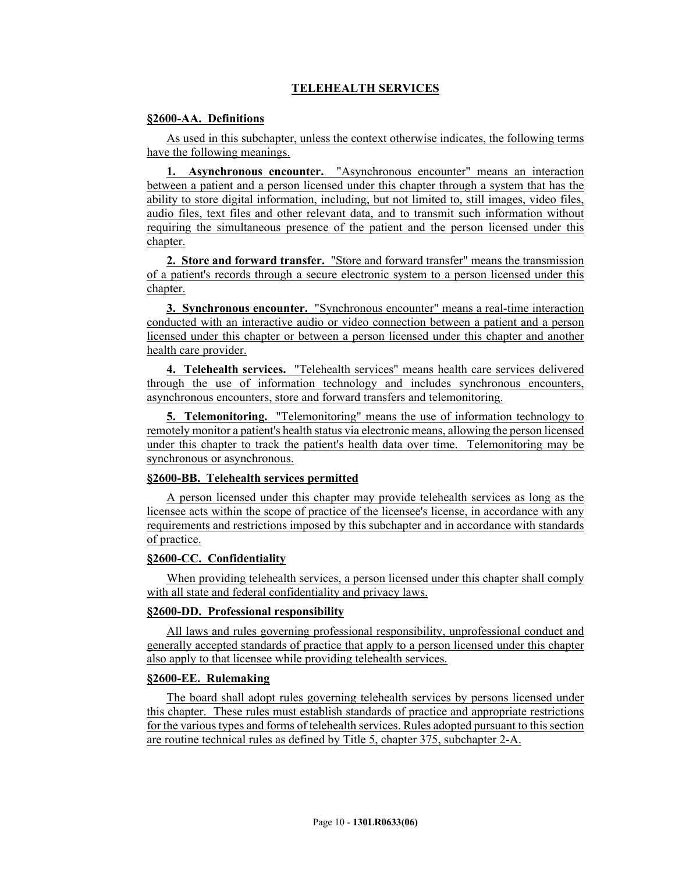# **TELEHEALTH SERVICES**

### **§2600-AA. Definitions**

As used in this subchapter, unless the context otherwise indicates, the following terms have the following meanings.

**1. Asynchronous encounter.** "Asynchronous encounter" means an interaction between a patient and a person licensed under this chapter through a system that has the ability to store digital information, including, but not limited to, still images, video files, audio files, text files and other relevant data, and to transmit such information without requiring the simultaneous presence of the patient and the person licensed under this chapter.

**2. Store and forward transfer.** "Store and forward transfer" means the transmission of a patient's records through a secure electronic system to a person licensed under this chapter.

**3. Synchronous encounter.** "Synchronous encounter" means a real-time interaction conducted with an interactive audio or video connection between a patient and a person licensed under this chapter or between a person licensed under this chapter and another health care provider.

**4. Telehealth services.** "Telehealth services" means health care services delivered through the use of information technology and includes synchronous encounters, asynchronous encounters, store and forward transfers and telemonitoring.

**5. Telemonitoring.** "Telemonitoring" means the use of information technology to remotely monitor a patient's health status via electronic means, allowing the person licensed under this chapter to track the patient's health data over time. Telemonitoring may be synchronous or asynchronous.

#### **§2600-BB. Telehealth services permitted**

A person licensed under this chapter may provide telehealth services as long as the licensee acts within the scope of practice of the licensee's license, in accordance with any requirements and restrictions imposed by this subchapter and in accordance with standards of practice.

# **§2600-CC. Confidentiality**

When providing telehealth services, a person licensed under this chapter shall comply with all state and federal confidentiality and privacy laws.

## **§2600-DD. Professional responsibility**

All laws and rules governing professional responsibility, unprofessional conduct and generally accepted standards of practice that apply to a person licensed under this chapter also apply to that licensee while providing telehealth services.

### **§2600-EE. Rulemaking**

The board shall adopt rules governing telehealth services by persons licensed under this chapter. These rules must establish standards of practice and appropriate restrictions for the various types and forms of telehealth services. Rules adopted pursuant to this section are routine technical rules as defined by Title 5, chapter 375, subchapter 2-A.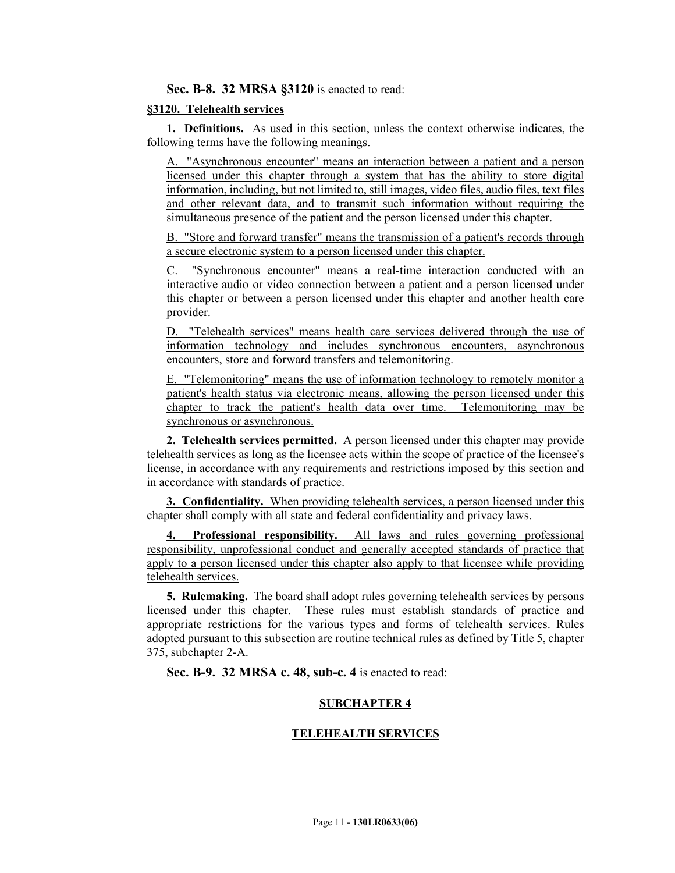### **Sec. B-8. 32 MRSA §3120** is enacted to read:

#### **§3120. Telehealth services**

**1. Definitions.** As used in this section, unless the context otherwise indicates, the following terms have the following meanings.

A. "Asynchronous encounter" means an interaction between a patient and a person licensed under this chapter through a system that has the ability to store digital information, including, but not limited to, still images, video files, audio files, text files and other relevant data, and to transmit such information without requiring the simultaneous presence of the patient and the person licensed under this chapter.

B. "Store and forward transfer" means the transmission of a patient's records through a secure electronic system to a person licensed under this chapter.

"Synchronous encounter" means a real-time interaction conducted with an interactive audio or video connection between a patient and a person licensed under this chapter or between a person licensed under this chapter and another health care provider.

D. "Telehealth services" means health care services delivered through the use of information technology and includes synchronous encounters, asynchronous encounters, store and forward transfers and telemonitoring.

E. "Telemonitoring" means the use of information technology to remotely monitor a patient's health status via electronic means, allowing the person licensed under this chapter to track the patient's health data over time. Telemonitoring may be synchronous or asynchronous.

**2. Telehealth services permitted.** A person licensed under this chapter may provide telehealth services as long as the licensee acts within the scope of practice of the licensee's license, in accordance with any requirements and restrictions imposed by this section and in accordance with standards of practice.

**3. Confidentiality.** When providing telehealth services, a person licensed under this chapter shall comply with all state and federal confidentiality and privacy laws.

**4. Professional responsibility.** All laws and rules governing professional responsibility, unprofessional conduct and generally accepted standards of practice that apply to a person licensed under this chapter also apply to that licensee while providing telehealth services.

**5. Rulemaking.** The board shall adopt rules governing telehealth services by persons licensed under this chapter. These rules must establish standards of practice and appropriate restrictions for the various types and forms of telehealth services. Rules adopted pursuant to this subsection are routine technical rules as defined by Title 5, chapter 375, subchapter 2-A.

**Sec. B-9. 32 MRSA c. 48, sub-c. 4** is enacted to read:

#### **SUBCHAPTER 4**

#### **TELEHEALTH SERVICES**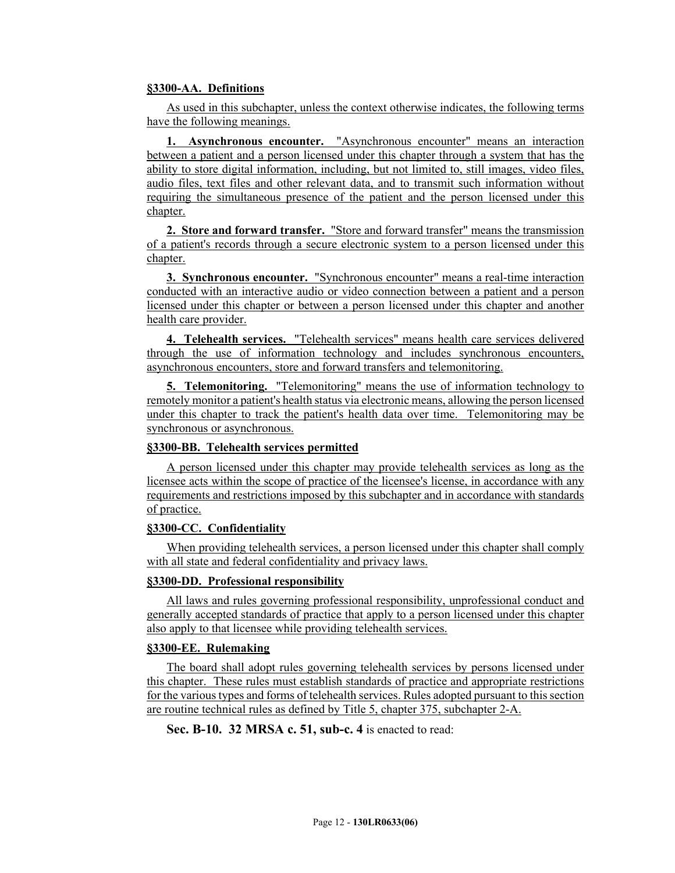### **§3300-AA. Definitions**

As used in this subchapter, unless the context otherwise indicates, the following terms have the following meanings.

**1. Asynchronous encounter.** "Asynchronous encounter" means an interaction between a patient and a person licensed under this chapter through a system that has the ability to store digital information, including, but not limited to, still images, video files, audio files, text files and other relevant data, and to transmit such information without requiring the simultaneous presence of the patient and the person licensed under this chapter.

**2. Store and forward transfer.** "Store and forward transfer" means the transmission of a patient's records through a secure electronic system to a person licensed under this chapter.

**3. Synchronous encounter.** "Synchronous encounter" means a real-time interaction conducted with an interactive audio or video connection between a patient and a person licensed under this chapter or between a person licensed under this chapter and another health care provider.

**4. Telehealth services.** "Telehealth services" means health care services delivered through the use of information technology and includes synchronous encounters, asynchronous encounters, store and forward transfers and telemonitoring.

**5. Telemonitoring.** "Telemonitoring" means the use of information technology to remotely monitor a patient's health status via electronic means, allowing the person licensed under this chapter to track the patient's health data over time. Telemonitoring may be synchronous or asynchronous.

#### **§3300-BB. Telehealth services permitted**

A person licensed under this chapter may provide telehealth services as long as the licensee acts within the scope of practice of the licensee's license, in accordance with any requirements and restrictions imposed by this subchapter and in accordance with standards of practice.

### **§3300-CC. Confidentiality**

When providing telehealth services, a person licensed under this chapter shall comply with all state and federal confidentiality and privacy laws.

#### **§3300-DD. Professional responsibility**

All laws and rules governing professional responsibility, unprofessional conduct and generally accepted standards of practice that apply to a person licensed under this chapter also apply to that licensee while providing telehealth services.

## **§3300-EE. Rulemaking**

The board shall adopt rules governing telehealth services by persons licensed under this chapter. These rules must establish standards of practice and appropriate restrictions for the various types and forms of telehealth services. Rules adopted pursuant to this section are routine technical rules as defined by Title 5, chapter 375, subchapter 2-A.

**Sec. B-10. 32 MRSA c. 51, sub-c. 4** is enacted to read: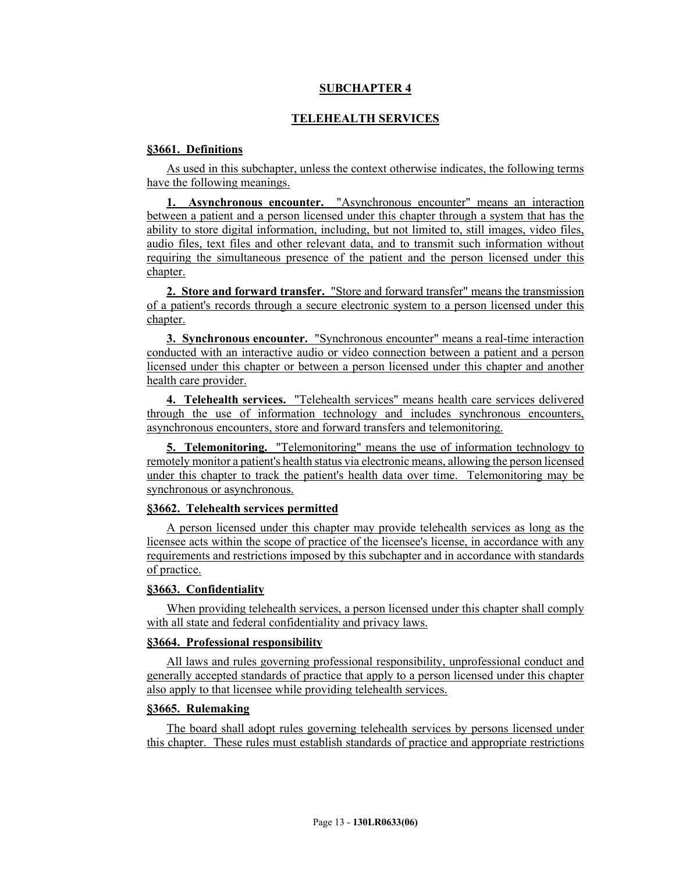## **SUBCHAPTER 4**

# **TELEHEALTH SERVICES**

### **§3661. Definitions**

As used in this subchapter, unless the context otherwise indicates, the following terms have the following meanings.

**1. Asynchronous encounter.** "Asynchronous encounter" means an interaction between a patient and a person licensed under this chapter through a system that has the ability to store digital information, including, but not limited to, still images, video files, audio files, text files and other relevant data, and to transmit such information without requiring the simultaneous presence of the patient and the person licensed under this chapter.

**2. Store and forward transfer.** "Store and forward transfer" means the transmission of a patient's records through a secure electronic system to a person licensed under this chapter.

**3. Synchronous encounter.** "Synchronous encounter" means a real-time interaction conducted with an interactive audio or video connection between a patient and a person licensed under this chapter or between a person licensed under this chapter and another health care provider.

**4. Telehealth services.** "Telehealth services" means health care services delivered through the use of information technology and includes synchronous encounters, asynchronous encounters, store and forward transfers and telemonitoring.

**5. Telemonitoring.** "Telemonitoring" means the use of information technology to remotely monitor a patient's health status via electronic means, allowing the person licensed under this chapter to track the patient's health data over time. Telemonitoring may be synchronous or asynchronous.

### **§3662. Telehealth services permitted**

A person licensed under this chapter may provide telehealth services as long as the licensee acts within the scope of practice of the licensee's license, in accordance with any requirements and restrictions imposed by this subchapter and in accordance with standards of practice.

#### **§3663. Confidentiality**

When providing telehealth services, a person licensed under this chapter shall comply with all state and federal confidentiality and privacy laws.

### **§3664. Professional responsibility**

All laws and rules governing professional responsibility, unprofessional conduct and generally accepted standards of practice that apply to a person licensed under this chapter also apply to that licensee while providing telehealth services.

# **§3665. Rulemaking**

The board shall adopt rules governing telehealth services by persons licensed under this chapter. These rules must establish standards of practice and appropriate restrictions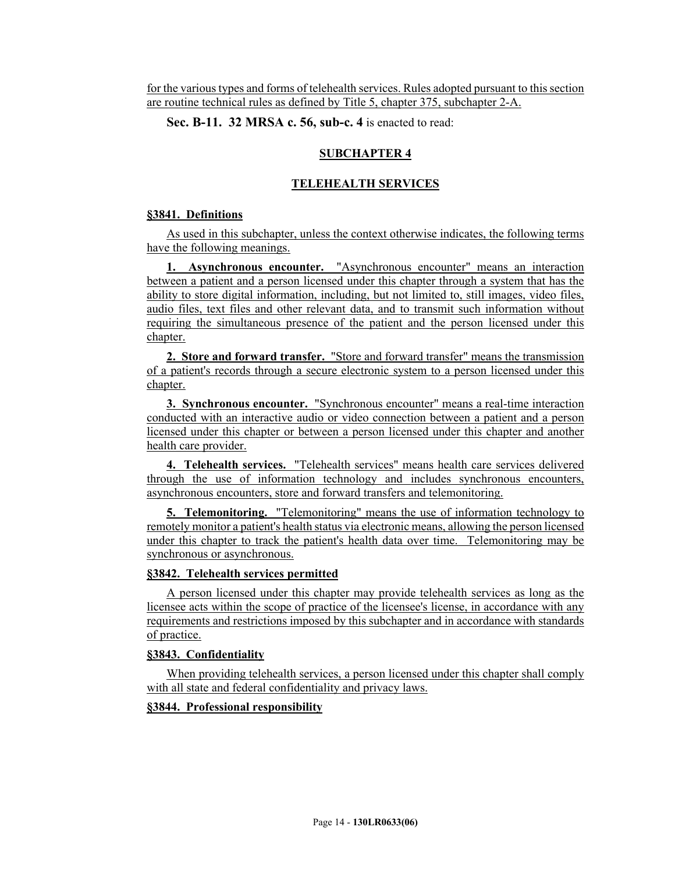for the various types and forms of telehealth services. Rules adopted pursuant to this section are routine technical rules as defined by Title 5, chapter 375, subchapter 2-A.

**Sec. B-11. 32 MRSA c. 56, sub-c. 4** is enacted to read:

### **SUBCHAPTER 4**

### **TELEHEALTH SERVICES**

#### **§3841. Definitions**

As used in this subchapter, unless the context otherwise indicates, the following terms have the following meanings.

**1. Asynchronous encounter.** "Asynchronous encounter" means an interaction between a patient and a person licensed under this chapter through a system that has the ability to store digital information, including, but not limited to, still images, video files, audio files, text files and other relevant data, and to transmit such information without requiring the simultaneous presence of the patient and the person licensed under this chapter.

**2. Store and forward transfer.** "Store and forward transfer" means the transmission of a patient's records through a secure electronic system to a person licensed under this chapter.

**3. Synchronous encounter.** "Synchronous encounter" means a real-time interaction conducted with an interactive audio or video connection between a patient and a person licensed under this chapter or between a person licensed under this chapter and another health care provider.

**4. Telehealth services.** "Telehealth services" means health care services delivered through the use of information technology and includes synchronous encounters, asynchronous encounters, store and forward transfers and telemonitoring.

**5. Telemonitoring.** "Telemonitoring" means the use of information technology to remotely monitor a patient's health status via electronic means, allowing the person licensed under this chapter to track the patient's health data over time. Telemonitoring may be synchronous or asynchronous.

#### **§3842. Telehealth services permitted**

A person licensed under this chapter may provide telehealth services as long as the licensee acts within the scope of practice of the licensee's license, in accordance with any requirements and restrictions imposed by this subchapter and in accordance with standards of practice.

#### **§3843. Confidentiality**

When providing telehealth services, a person licensed under this chapter shall comply with all state and federal confidentiality and privacy laws.

### **§3844. Professional responsibility**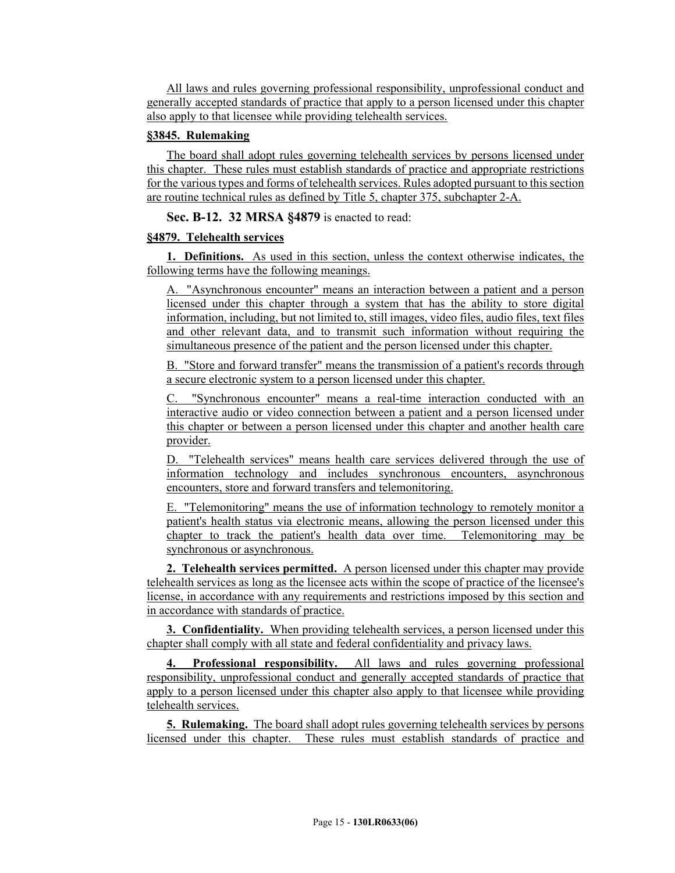All laws and rules governing professional responsibility, unprofessional conduct and generally accepted standards of practice that apply to a person licensed under this chapter also apply to that licensee while providing telehealth services.

### **§3845. Rulemaking**

The board shall adopt rules governing telehealth services by persons licensed under this chapter. These rules must establish standards of practice and appropriate restrictions for the various types and forms of telehealth services. Rules adopted pursuant to this section are routine technical rules as defined by Title 5, chapter 375, subchapter 2-A.

**Sec. B-12. 32 MRSA §4879** is enacted to read:

## **§4879. Telehealth services**

**1. Definitions.** As used in this section, unless the context otherwise indicates, the following terms have the following meanings.

A. "Asynchronous encounter" means an interaction between a patient and a person licensed under this chapter through a system that has the ability to store digital information, including, but not limited to, still images, video files, audio files, text files and other relevant data, and to transmit such information without requiring the simultaneous presence of the patient and the person licensed under this chapter.

B. "Store and forward transfer" means the transmission of a patient's records through a secure electronic system to a person licensed under this chapter.

"Synchronous encounter" means a real-time interaction conducted with an interactive audio or video connection between a patient and a person licensed under this chapter or between a person licensed under this chapter and another health care provider.

D. "Telehealth services" means health care services delivered through the use of information technology and includes synchronous encounters, asynchronous encounters, store and forward transfers and telemonitoring.

E. "Telemonitoring" means the use of information technology to remotely monitor a patient's health status via electronic means, allowing the person licensed under this chapter to track the patient's health data over time. Telemonitoring may be synchronous or asynchronous.

**2. Telehealth services permitted.** A person licensed under this chapter may provide telehealth services as long as the licensee acts within the scope of practice of the licensee's license, in accordance with any requirements and restrictions imposed by this section and in accordance with standards of practice.

**3. Confidentiality.** When providing telehealth services, a person licensed under this chapter shall comply with all state and federal confidentiality and privacy laws.

**Professional responsibility.** All laws and rules governing professional responsibility, unprofessional conduct and generally accepted standards of practice that apply to a person licensed under this chapter also apply to that licensee while providing telehealth services.

**5. Rulemaking.** The board shall adopt rules governing telehealth services by persons licensed under this chapter. These rules must establish standards of practice and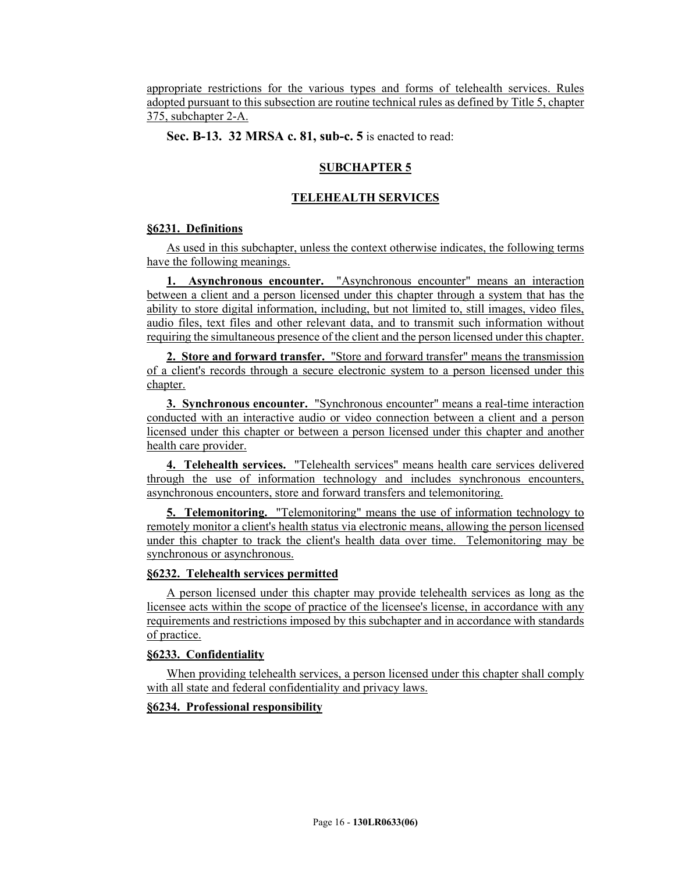appropriate restrictions for the various types and forms of telehealth services. Rules adopted pursuant to this subsection are routine technical rules as defined by Title 5, chapter 375, subchapter 2-A.

**Sec. B-13. 32 MRSA c. 81, sub-c. 5** is enacted to read:

# **SUBCHAPTER 5**

# **TELEHEALTH SERVICES**

## **§6231. Definitions**

As used in this subchapter, unless the context otherwise indicates, the following terms have the following meanings.

**1. Asynchronous encounter.** "Asynchronous encounter" means an interaction between a client and a person licensed under this chapter through a system that has the ability to store digital information, including, but not limited to, still images, video files, audio files, text files and other relevant data, and to transmit such information without requiring the simultaneous presence of the client and the person licensed under this chapter.

**2. Store and forward transfer.** "Store and forward transfer" means the transmission of a client's records through a secure electronic system to a person licensed under this chapter.

**3. Synchronous encounter.** "Synchronous encounter" means a real-time interaction conducted with an interactive audio or video connection between a client and a person licensed under this chapter or between a person licensed under this chapter and another health care provider.

**4. Telehealth services.** "Telehealth services" means health care services delivered through the use of information technology and includes synchronous encounters, asynchronous encounters, store and forward transfers and telemonitoring.

**5. Telemonitoring.** "Telemonitoring" means the use of information technology to remotely monitor a client's health status via electronic means, allowing the person licensed under this chapter to track the client's health data over time. Telemonitoring may be synchronous or asynchronous.

## **§6232. Telehealth services permitted**

A person licensed under this chapter may provide telehealth services as long as the licensee acts within the scope of practice of the licensee's license, in accordance with any requirements and restrictions imposed by this subchapter and in accordance with standards of practice.

## **§6233. Confidentiality**

When providing telehealth services, a person licensed under this chapter shall comply with all state and federal confidentiality and privacy laws.

## **§6234. Professional responsibility**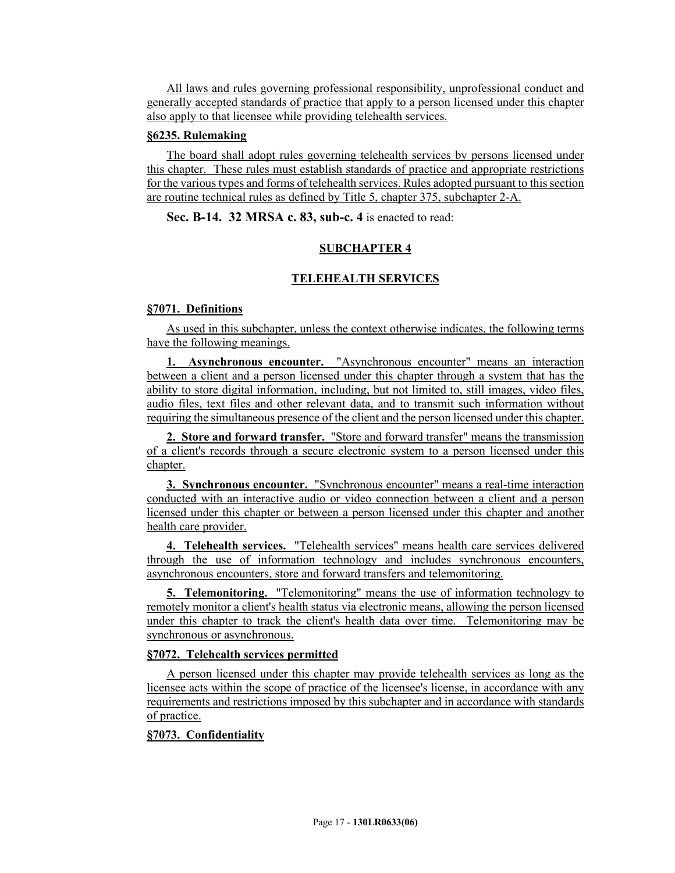All laws and rules governing professional responsibility, unprofessional conduct and generally accepted standards of practice that apply to a person licensed under this chapter also apply to that licensee while providing telehealth services.

### **§6235. Rulemaking**

The board shall adopt rules governing telehealth services by persons licensed under this chapter. These rules must establish standards of practice and appropriate restrictions for the various types and forms of telehealth services. Rules adopted pursuant to this section are routine technical rules as defined by Title 5, chapter 375, subchapter 2-A.

## **Sec. B-14. 32 MRSA c. 83, sub-c. 4** is enacted to read:

## **SUBCHAPTER 4**

## **TELEHEALTH SERVICES**

### **§7071. Definitions**

As used in this subchapter, unless the context otherwise indicates, the following terms have the following meanings.

**1. Asynchronous encounter.** "Asynchronous encounter" means an interaction between a client and a person licensed under this chapter through a system that has the ability to store digital information, including, but not limited to, still images, video files, audio files, text files and other relevant data, and to transmit such information without requiring the simultaneous presence of the client and the person licensed under this chapter.

**2. Store and forward transfer.** "Store and forward transfer" means the transmission of a client's records through a secure electronic system to a person licensed under this chapter.

**3. Synchronous encounter.** "Synchronous encounter" means a real-time interaction conducted with an interactive audio or video connection between a client and a person licensed under this chapter or between a person licensed under this chapter and another health care provider.

**4. Telehealth services.** "Telehealth services" means health care services delivered through the use of information technology and includes synchronous encounters, asynchronous encounters, store and forward transfers and telemonitoring.

**5. Telemonitoring.** "Telemonitoring" means the use of information technology to remotely monitor a client's health status via electronic means, allowing the person licensed under this chapter to track the client's health data over time. Telemonitoring may be synchronous or asynchronous.

## **§7072. Telehealth services permitted**

A person licensed under this chapter may provide telehealth services as long as the licensee acts within the scope of practice of the licensee's license, in accordance with any requirements and restrictions imposed by this subchapter and in accordance with standards of practice.

## **§7073. Confidentiality**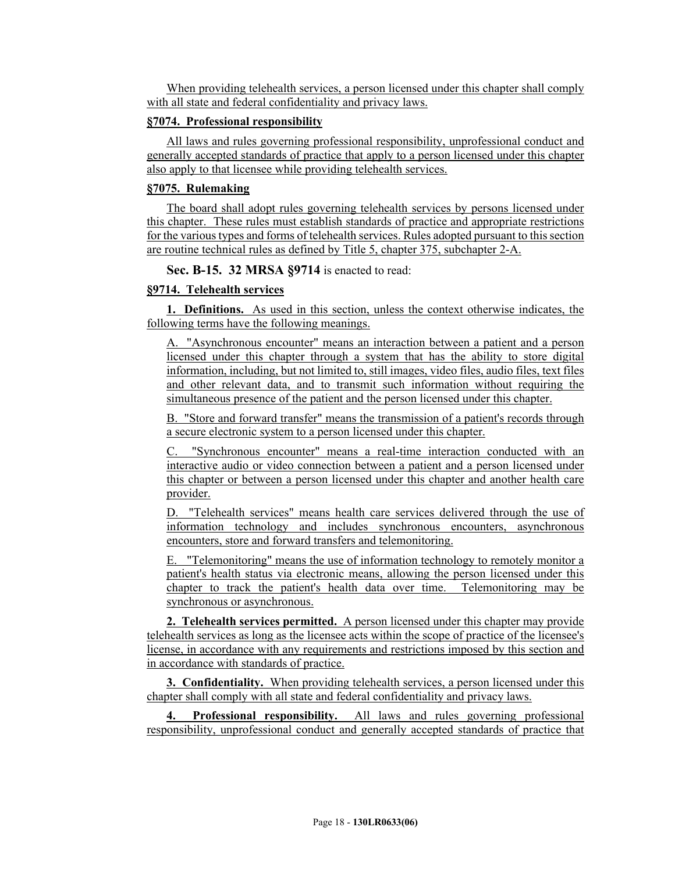When providing telehealth services, a person licensed under this chapter shall comply with all state and federal confidentiality and privacy laws.

#### **§7074. Professional responsibility**

All laws and rules governing professional responsibility, unprofessional conduct and generally accepted standards of practice that apply to a person licensed under this chapter also apply to that licensee while providing telehealth services.

### **§7075. Rulemaking**

The board shall adopt rules governing telehealth services by persons licensed under this chapter. These rules must establish standards of practice and appropriate restrictions for the various types and forms of telehealth services. Rules adopted pursuant to this section are routine technical rules as defined by Title 5, chapter 375, subchapter 2-A.

**Sec. B-15. 32 MRSA §9714** is enacted to read:

## **§9714. Telehealth services**

**1. Definitions.** As used in this section, unless the context otherwise indicates, the following terms have the following meanings.

A. "Asynchronous encounter" means an interaction between a patient and a person licensed under this chapter through a system that has the ability to store digital information, including, but not limited to, still images, video files, audio files, text files and other relevant data, and to transmit such information without requiring the simultaneous presence of the patient and the person licensed under this chapter.

B. "Store and forward transfer" means the transmission of a patient's records through a secure electronic system to a person licensed under this chapter.

C. "Synchronous encounter" means a real-time interaction conducted with an interactive audio or video connection between a patient and a person licensed under this chapter or between a person licensed under this chapter and another health care provider.

D. "Telehealth services" means health care services delivered through the use of information technology and includes synchronous encounters, asynchronous encounters, store and forward transfers and telemonitoring.

E. "Telemonitoring" means the use of information technology to remotely monitor a patient's health status via electronic means, allowing the person licensed under this chapter to track the patient's health data over time. Telemonitoring may be synchronous or asynchronous.

**2. Telehealth services permitted.** A person licensed under this chapter may provide telehealth services as long as the licensee acts within the scope of practice of the licensee's license, in accordance with any requirements and restrictions imposed by this section and in accordance with standards of practice.

**3. Confidentiality.** When providing telehealth services, a person licensed under this chapter shall comply with all state and federal confidentiality and privacy laws.

**4. Professional responsibility.** All laws and rules governing professional responsibility, unprofessional conduct and generally accepted standards of practice that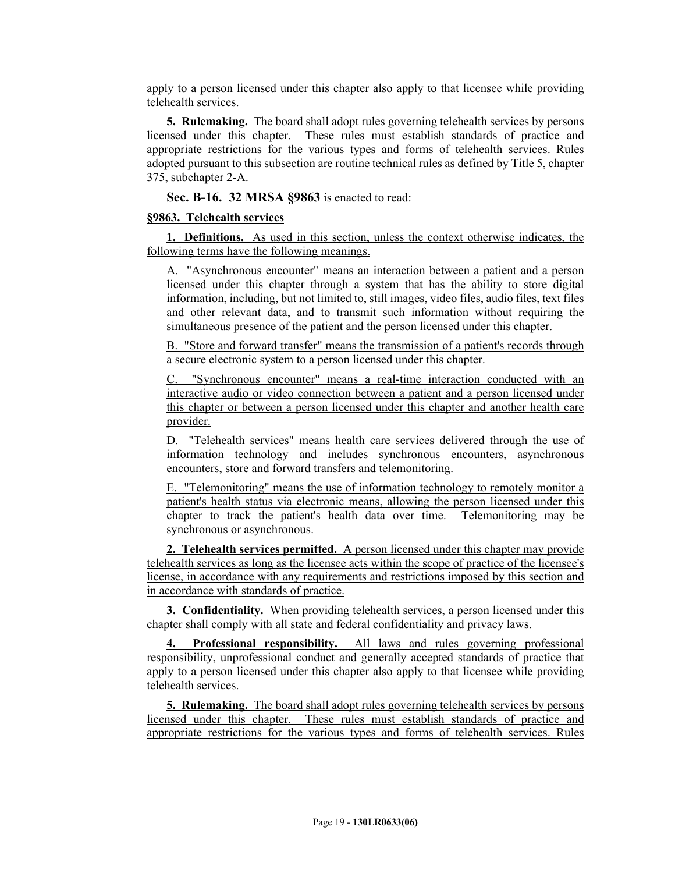apply to a person licensed under this chapter also apply to that licensee while providing telehealth services.

**5. Rulemaking.** The board shall adopt rules governing telehealth services by persons licensed under this chapter. These rules must establish standards of practice and appropriate restrictions for the various types and forms of telehealth services. Rules adopted pursuant to this subsection are routine technical rules as defined by Title 5, chapter 375, subchapter 2-A.

**Sec. B-16. 32 MRSA §9863** is enacted to read:

### **§9863. Telehealth services**

**1. Definitions.** As used in this section, unless the context otherwise indicates, the following terms have the following meanings.

A. "Asynchronous encounter" means an interaction between a patient and a person licensed under this chapter through a system that has the ability to store digital information, including, but not limited to, still images, video files, audio files, text files and other relevant data, and to transmit such information without requiring the simultaneous presence of the patient and the person licensed under this chapter.

B. "Store and forward transfer" means the transmission of a patient's records through a secure electronic system to a person licensed under this chapter.

C. "Synchronous encounter" means a real-time interaction conducted with an interactive audio or video connection between a patient and a person licensed under this chapter or between a person licensed under this chapter and another health care provider.

D. "Telehealth services" means health care services delivered through the use of information technology and includes synchronous encounters, asynchronous encounters, store and forward transfers and telemonitoring.

E. "Telemonitoring" means the use of information technology to remotely monitor a patient's health status via electronic means, allowing the person licensed under this chapter to track the patient's health data over time. Telemonitoring may be synchronous or asynchronous.

**2. Telehealth services permitted.** A person licensed under this chapter may provide telehealth services as long as the licensee acts within the scope of practice of the licensee's license, in accordance with any requirements and restrictions imposed by this section and in accordance with standards of practice.

**3. Confidentiality.** When providing telehealth services, a person licensed under this chapter shall comply with all state and federal confidentiality and privacy laws.

**4. Professional responsibility.** All laws and rules governing professional responsibility, unprofessional conduct and generally accepted standards of practice that apply to a person licensed under this chapter also apply to that licensee while providing telehealth services.

**5. Rulemaking.** The board shall adopt rules governing telehealth services by persons licensed under this chapter. These rules must establish standards of practice and appropriate restrictions for the various types and forms of telehealth services. Rules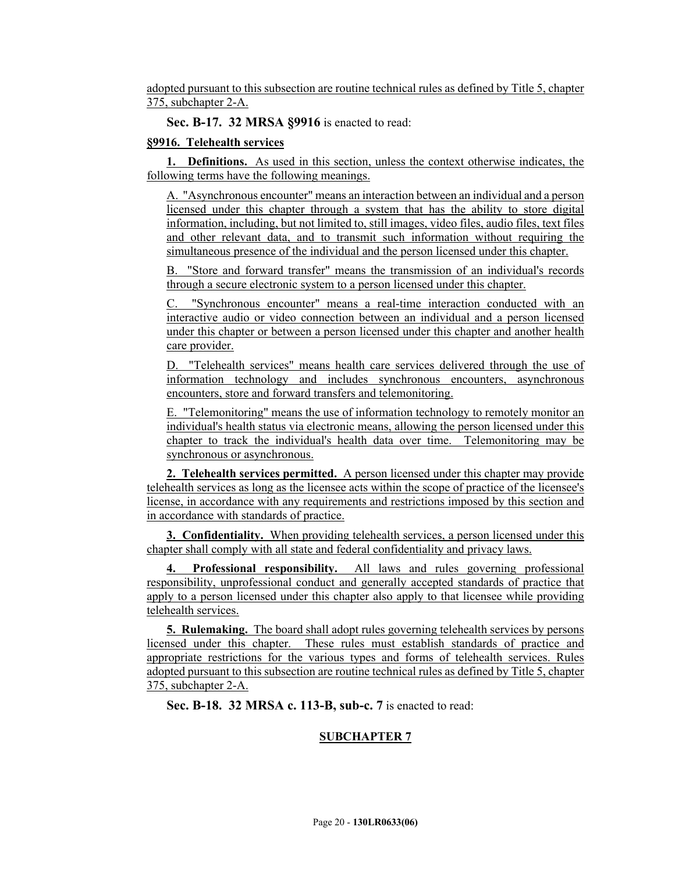adopted pursuant to this subsection are routine technical rules as defined by Title 5, chapter 375, subchapter 2-A.

**Sec. B-17. 32 MRSA §9916** is enacted to read:

## **§9916. Telehealth services**

**1. Definitions.** As used in this section, unless the context otherwise indicates, the following terms have the following meanings.

A. "Asynchronous encounter" means an interaction between an individual and a person licensed under this chapter through a system that has the ability to store digital information, including, but not limited to, still images, video files, audio files, text files and other relevant data, and to transmit such information without requiring the simultaneous presence of the individual and the person licensed under this chapter.

B. "Store and forward transfer" means the transmission of an individual's records through a secure electronic system to a person licensed under this chapter.

C. "Synchronous encounter" means a real-time interaction conducted with an interactive audio or video connection between an individual and a person licensed under this chapter or between a person licensed under this chapter and another health care provider.

D. "Telehealth services" means health care services delivered through the use of information technology and includes synchronous encounters, asynchronous encounters, store and forward transfers and telemonitoring.

E. "Telemonitoring" means the use of information technology to remotely monitor an individual's health status via electronic means, allowing the person licensed under this chapter to track the individual's health data over time. Telemonitoring may be synchronous or asynchronous.

**2. Telehealth services permitted.** A person licensed under this chapter may provide telehealth services as long as the licensee acts within the scope of practice of the licensee's license, in accordance with any requirements and restrictions imposed by this section and in accordance with standards of practice.

**3. Confidentiality.** When providing telehealth services, a person licensed under this chapter shall comply with all state and federal confidentiality and privacy laws.

**4. Professional responsibility.** All laws and rules governing professional responsibility, unprofessional conduct and generally accepted standards of practice that apply to a person licensed under this chapter also apply to that licensee while providing telehealth services.

**5. Rulemaking.** The board shall adopt rules governing telehealth services by persons licensed under this chapter. These rules must establish standards of practice and appropriate restrictions for the various types and forms of telehealth services. Rules adopted pursuant to this subsection are routine technical rules as defined by Title 5, chapter 375, subchapter 2-A.

**Sec. B-18. 32 MRSA c. 113-B, sub-c. 7** is enacted to read:

# **SUBCHAPTER 7**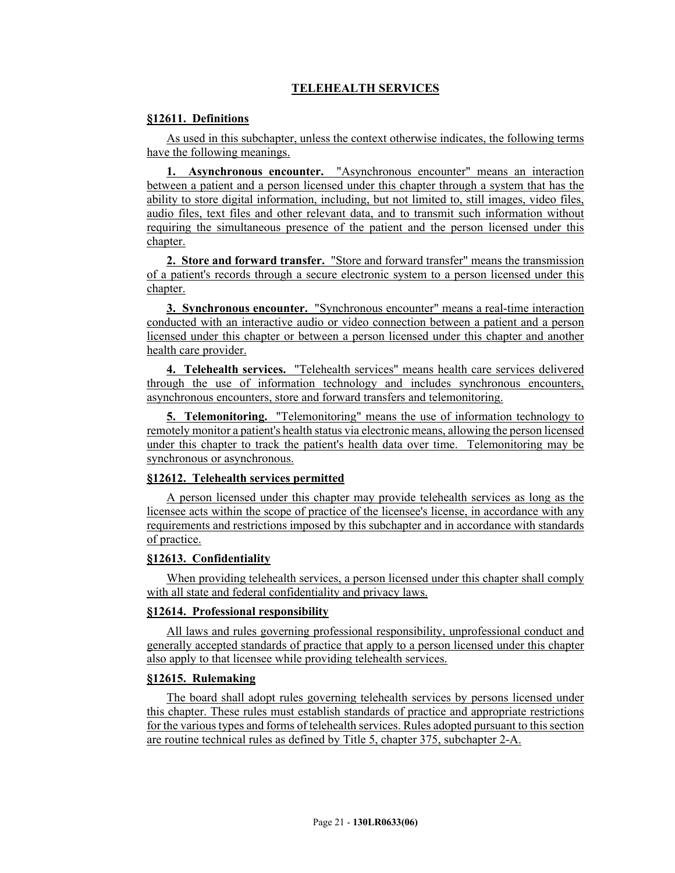# **TELEHEALTH SERVICES**

## **§12611. Definitions**

As used in this subchapter, unless the context otherwise indicates, the following terms have the following meanings.

**1. Asynchronous encounter.** "Asynchronous encounter" means an interaction between a patient and a person licensed under this chapter through a system that has the ability to store digital information, including, but not limited to, still images, video files, audio files, text files and other relevant data, and to transmit such information without requiring the simultaneous presence of the patient and the person licensed under this chapter.

**2. Store and forward transfer.** "Store and forward transfer" means the transmission of a patient's records through a secure electronic system to a person licensed under this chapter.

**3. Synchronous encounter.** "Synchronous encounter" means a real-time interaction conducted with an interactive audio or video connection between a patient and a person licensed under this chapter or between a person licensed under this chapter and another health care provider.

**4. Telehealth services.** "Telehealth services" means health care services delivered through the use of information technology and includes synchronous encounters, asynchronous encounters, store and forward transfers and telemonitoring.

**5. Telemonitoring.** "Telemonitoring" means the use of information technology to remotely monitor a patient's health status via electronic means, allowing the person licensed under this chapter to track the patient's health data over time. Telemonitoring may be synchronous or asynchronous.

## **§12612. Telehealth services permitted**

A person licensed under this chapter may provide telehealth services as long as the licensee acts within the scope of practice of the licensee's license, in accordance with any requirements and restrictions imposed by this subchapter and in accordance with standards of practice.

#### **§12613. Confidentiality**

When providing telehealth services, a person licensed under this chapter shall comply with all state and federal confidentiality and privacy laws.

## **§12614. Professional responsibility**

All laws and rules governing professional responsibility, unprofessional conduct and generally accepted standards of practice that apply to a person licensed under this chapter also apply to that licensee while providing telehealth services.

### **§12615. Rulemaking**

The board shall adopt rules governing telehealth services by persons licensed under this chapter. These rules must establish standards of practice and appropriate restrictions for the various types and forms of telehealth services. Rules adopted pursuant to this section are routine technical rules as defined by Title 5, chapter 375, subchapter 2-A.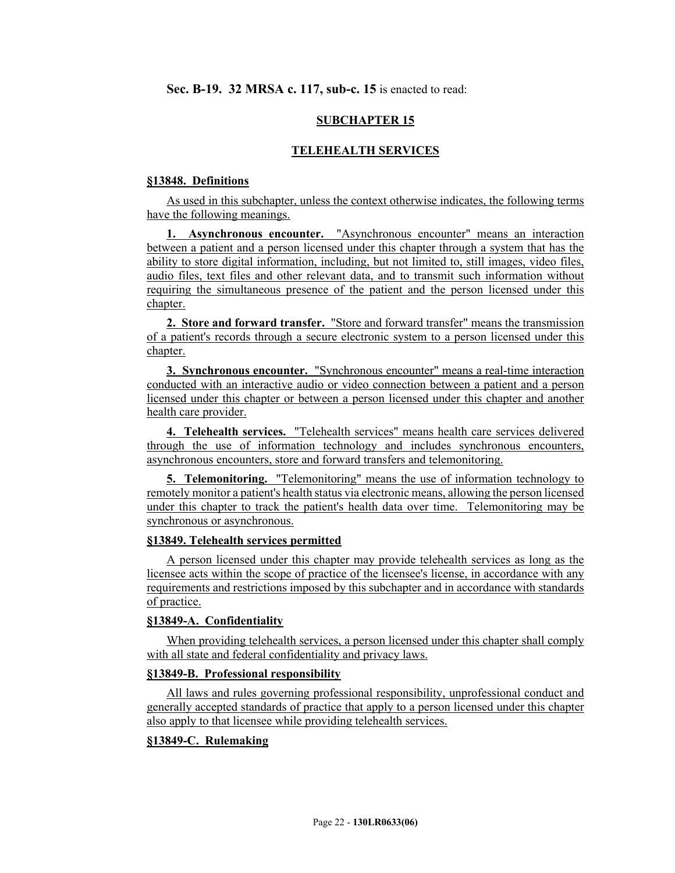# **SUBCHAPTER 15**

### **TELEHEALTH SERVICES**

#### **§13848. Definitions**

As used in this subchapter, unless the context otherwise indicates, the following terms have the following meanings.

**1. Asynchronous encounter.** "Asynchronous encounter" means an interaction between a patient and a person licensed under this chapter through a system that has the ability to store digital information, including, but not limited to, still images, video files, audio files, text files and other relevant data, and to transmit such information without requiring the simultaneous presence of the patient and the person licensed under this chapter.

**2. Store and forward transfer.** "Store and forward transfer" means the transmission of a patient's records through a secure electronic system to a person licensed under this chapter.

**3. Synchronous encounter.** "Synchronous encounter" means a real-time interaction conducted with an interactive audio or video connection between a patient and a person licensed under this chapter or between a person licensed under this chapter and another health care provider.

**4. Telehealth services.** "Telehealth services" means health care services delivered through the use of information technology and includes synchronous encounters, asynchronous encounters, store and forward transfers and telemonitoring.

**5. Telemonitoring.** "Telemonitoring" means the use of information technology to remotely monitor a patient's health status via electronic means, allowing the person licensed under this chapter to track the patient's health data over time. Telemonitoring may be synchronous or asynchronous.

#### **§13849. Telehealth services permitted**

A person licensed under this chapter may provide telehealth services as long as the licensee acts within the scope of practice of the licensee's license, in accordance with any requirements and restrictions imposed by this subchapter and in accordance with standards of practice.

#### **§13849-A. Confidentiality**

When providing telehealth services, a person licensed under this chapter shall comply with all state and federal confidentiality and privacy laws.

#### **§13849-B. Professional responsibility**

All laws and rules governing professional responsibility, unprofessional conduct and generally accepted standards of practice that apply to a person licensed under this chapter also apply to that licensee while providing telehealth services.

## **§13849-C. Rulemaking**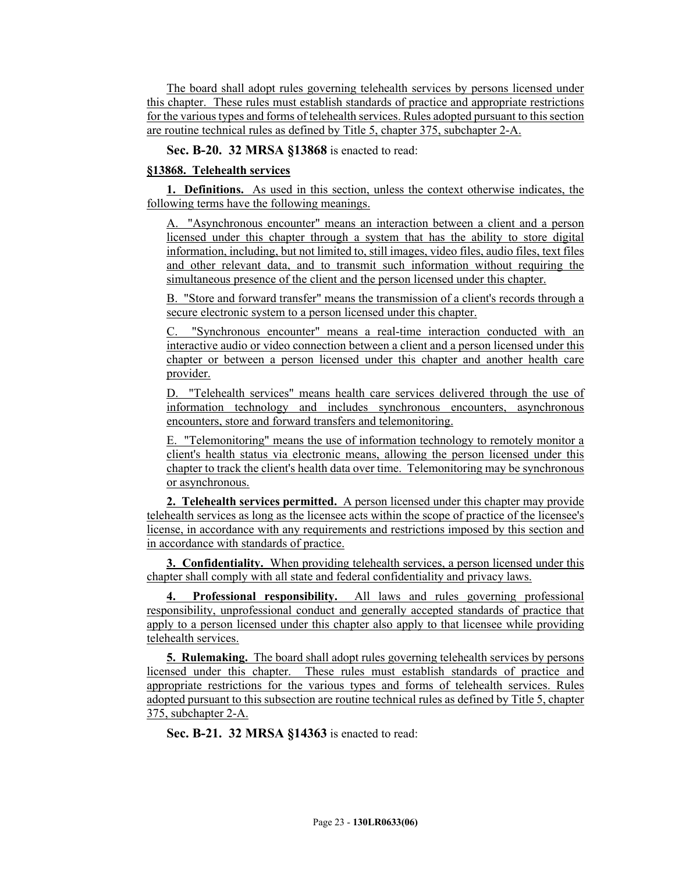The board shall adopt rules governing telehealth services by persons licensed under this chapter. These rules must establish standards of practice and appropriate restrictions for the various types and forms of telehealth services. Rules adopted pursuant to this section are routine technical rules as defined by Title 5, chapter 375, subchapter 2-A.

**Sec. B-20. 32 MRSA §13868** is enacted to read:

# **§13868. Telehealth services**

**1. Definitions.** As used in this section, unless the context otherwise indicates, the following terms have the following meanings.

A. "Asynchronous encounter" means an interaction between a client and a person licensed under this chapter through a system that has the ability to store digital information, including, but not limited to, still images, video files, audio files, text files and other relevant data, and to transmit such information without requiring the simultaneous presence of the client and the person licensed under this chapter.

B. "Store and forward transfer" means the transmission of a client's records through a secure electronic system to a person licensed under this chapter.

C. "Synchronous encounter" means a real-time interaction conducted with an interactive audio or video connection between a client and a person licensed under this chapter or between a person licensed under this chapter and another health care provider.

D. "Telehealth services" means health care services delivered through the use of information technology and includes synchronous encounters, asynchronous encounters, store and forward transfers and telemonitoring.

E. "Telemonitoring" means the use of information technology to remotely monitor a client's health status via electronic means, allowing the person licensed under this chapter to track the client's health data over time. Telemonitoring may be synchronous or asynchronous.

**2. Telehealth services permitted.** A person licensed under this chapter may provide telehealth services as long as the licensee acts within the scope of practice of the licensee's license, in accordance with any requirements and restrictions imposed by this section and in accordance with standards of practice.

**3. Confidentiality.** When providing telehealth services, a person licensed under this chapter shall comply with all state and federal confidentiality and privacy laws.

**4. Professional responsibility.** All laws and rules governing professional responsibility, unprofessional conduct and generally accepted standards of practice that apply to a person licensed under this chapter also apply to that licensee while providing telehealth services.

**5. Rulemaking.** The board shall adopt rules governing telehealth services by persons licensed under this chapter. These rules must establish standards of practice and appropriate restrictions for the various types and forms of telehealth services. Rules adopted pursuant to this subsection are routine technical rules as defined by Title 5, chapter 375, subchapter 2-A.

**Sec. B-21. 32 MRSA §14363** is enacted to read: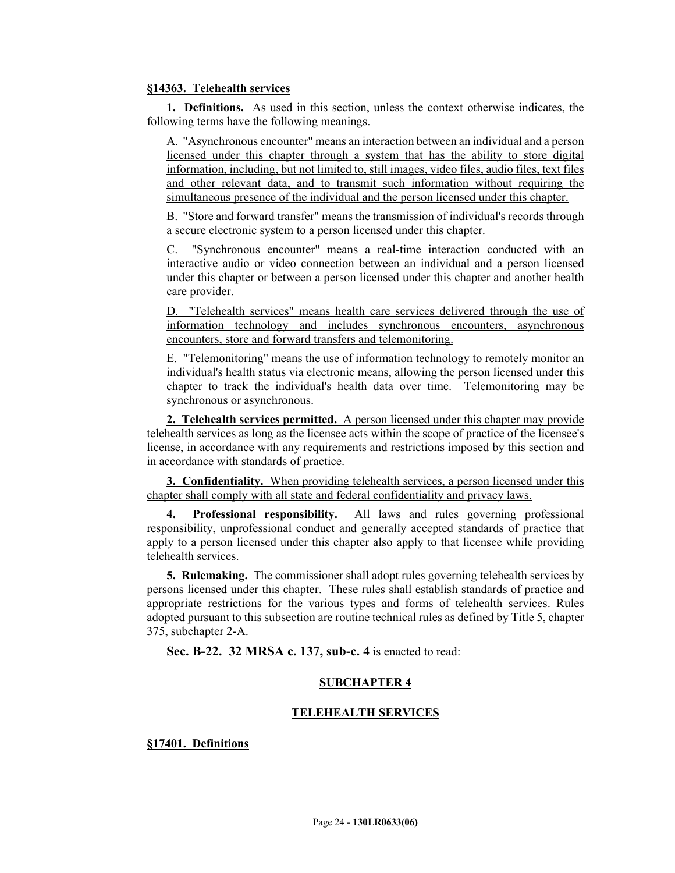## **§14363. Telehealth services**

**1. Definitions.** As used in this section, unless the context otherwise indicates, the following terms have the following meanings.

A. "Asynchronous encounter" means an interaction between an individual and a person licensed under this chapter through a system that has the ability to store digital information, including, but not limited to, still images, video files, audio files, text files and other relevant data, and to transmit such information without requiring the simultaneous presence of the individual and the person licensed under this chapter.

B. "Store and forward transfer" means the transmission of individual's records through a secure electronic system to a person licensed under this chapter.

"Synchronous encounter" means a real-time interaction conducted with an interactive audio or video connection between an individual and a person licensed under this chapter or between a person licensed under this chapter and another health care provider.

D. "Telehealth services" means health care services delivered through the use of information technology and includes synchronous encounters, asynchronous encounters, store and forward transfers and telemonitoring.

E. "Telemonitoring" means the use of information technology to remotely monitor an individual's health status via electronic means, allowing the person licensed under this chapter to track the individual's health data over time. Telemonitoring may be synchronous or asynchronous.

**2. Telehealth services permitted.** A person licensed under this chapter may provide telehealth services as long as the licensee acts within the scope of practice of the licensee's license, in accordance with any requirements and restrictions imposed by this section and in accordance with standards of practice.

**3. Confidentiality.** When providing telehealth services, a person licensed under this chapter shall comply with all state and federal confidentiality and privacy laws.

**4. Professional responsibility.** All laws and rules governing professional responsibility, unprofessional conduct and generally accepted standards of practice that apply to a person licensed under this chapter also apply to that licensee while providing telehealth services.

**5. Rulemaking.** The commissioner shall adopt rules governing telehealth services by persons licensed under this chapter. These rules shall establish standards of practice and appropriate restrictions for the various types and forms of telehealth services. Rules adopted pursuant to this subsection are routine technical rules as defined by Title 5, chapter 375, subchapter 2-A.

**Sec. B-22. 32 MRSA c. 137, sub-c. 4** is enacted to read:

## **SUBCHAPTER 4**

#### **TELEHEALTH SERVICES**

**§17401. Definitions**